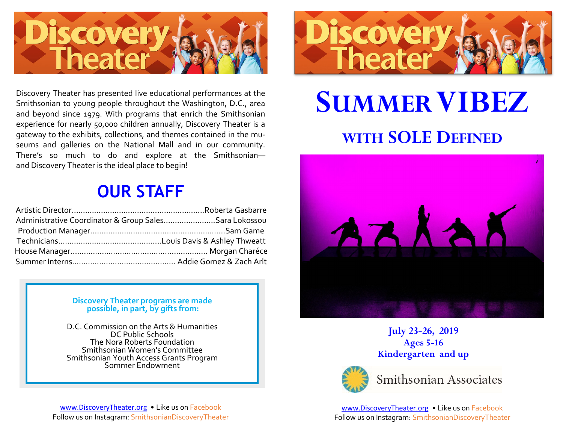

Discovery Theater has presented live educational performances at the Smithsonian to young people throughout the Washington, D.C., area and beyond since 1979. With programs that enrich the Smithsonian experience for nearly 50,000 children annually, Discovery Theater is a gateway to the exhibits, collections, and themes contained in the museums and galleries on the National Mall and in our community. There's so much to do and explore at the Smithsonian and Discovery Theater is the ideal place to begin!

## **OUR STAFF**

| Administrative Coordinator & Group SalesSara Lokossou |  |
|-------------------------------------------------------|--|
|                                                       |  |
|                                                       |  |
|                                                       |  |
|                                                       |  |

#### **Discovery Theater programs are made possible, in part, by gifts from:**

D.C. Commission on the Arts & Humanities DC Public Schools The Nora Roberts Foundation Smithsonian Women's Committee Smithsonian Youth Access Grants Program Sommer Endowment

[www.DiscoveryTheater.org](http://www.discoverytheater.org) • Like us on Facebook Follow us on Instagram: SmithsonianDiscoveryTheater



# **SUMMERVIBEZ WITH SOLE DEFINED**



**July 23-26, 2019 Ages 5-16 Kindergarten and up** 



Smithsonian Associates

[www.DiscoveryTheater.org](http://www.discoverytheater.org) • Like us on Facebook Follow us on Instagram: SmithsonianDiscoveryTheater